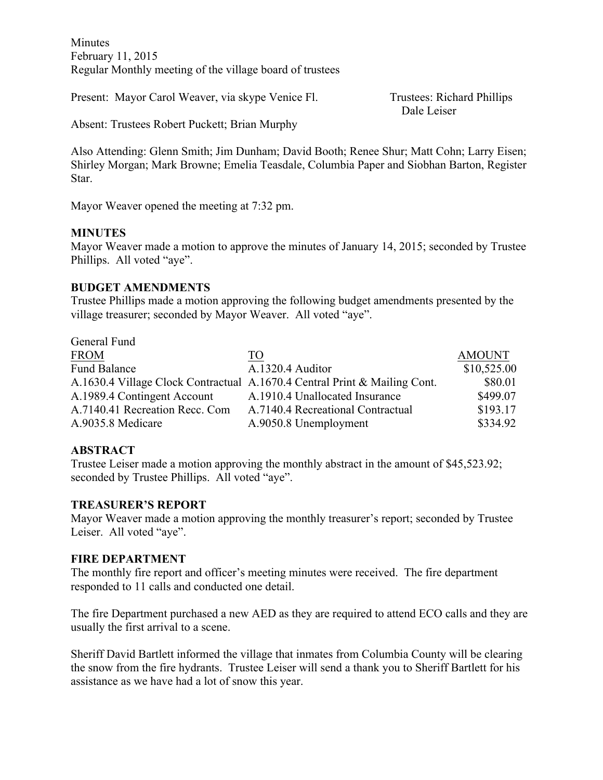Minutes February 11, 2015 Regular Monthly meeting of the village board of trustees

Present: Mayor Carol Weaver, via skype Venice Fl. Trustees: Richard Phillips

Dale Leiser

Absent: Trustees Robert Puckett; Brian Murphy

Also Attending: Glenn Smith; Jim Dunham; David Booth; Renee Shur; Matt Cohn; Larry Eisen; Shirley Morgan; Mark Browne; Emelia Teasdale, Columbia Paper and Siobhan Barton, Register Star.

Mayor Weaver opened the meeting at 7:32 pm.

### **MINUTES**

Mayor Weaver made a motion to approve the minutes of January 14, 2015; seconded by Trustee Phillips. All voted "aye".

### **BUDGET AMENDMENTS**

Trustee Phillips made a motion approving the following budget amendments presented by the village treasurer; seconded by Mayor Weaver. All voted "aye".

| General Fund                   |                                                                           |               |
|--------------------------------|---------------------------------------------------------------------------|---------------|
| <b>FROM</b>                    | TO                                                                        | <b>AMOUNT</b> |
| <b>Fund Balance</b>            | A.1320.4 Auditor                                                          | \$10,525.00   |
|                                | A.1630.4 Village Clock Contractual A.1670.4 Central Print & Mailing Cont. | \$80.01       |
| A.1989.4 Contingent Account    | A.1910.4 Unallocated Insurance                                            | \$499.07      |
| A.7140.41 Recreation Recc. Com | A.7140.4 Recreational Contractual                                         | \$193.17      |
| A.9035.8 Medicare              | A.9050.8 Unemployment                                                     | \$334.92      |

## **ABSTRACT**

Trustee Leiser made a motion approving the monthly abstract in the amount of \$45,523.92; seconded by Trustee Phillips. All voted "aye".

#### **TREASURER'S REPORT**

Mayor Weaver made a motion approving the monthly treasurer's report; seconded by Trustee Leiser. All voted "aye".

#### **FIRE DEPARTMENT**

The monthly fire report and officer's meeting minutes were received. The fire department responded to 11 calls and conducted one detail.

The fire Department purchased a new AED as they are required to attend ECO calls and they are usually the first arrival to a scene.

Sheriff David Bartlett informed the village that inmates from Columbia County will be clearing the snow from the fire hydrants. Trustee Leiser will send a thank you to Sheriff Bartlett for his assistance as we have had a lot of snow this year.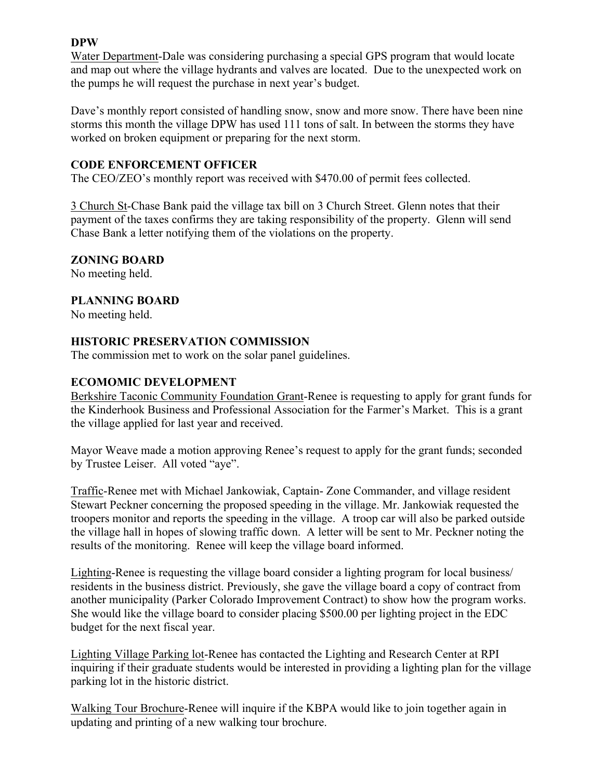## **DPW**

Water Department-Dale was considering purchasing a special GPS program that would locate and map out where the village hydrants and valves are located. Due to the unexpected work on the pumps he will request the purchase in next year's budget.

Dave's monthly report consisted of handling snow, snow and more snow. There have been nine storms this month the village DPW has used 111 tons of salt. In between the storms they have worked on broken equipment or preparing for the next storm.

### **CODE ENFORCEMENT OFFICER**

The CEO/ZEO's monthly report was received with \$470.00 of permit fees collected.

3 Church St-Chase Bank paid the village tax bill on 3 Church Street. Glenn notes that their payment of the taxes confirms they are taking responsibility of the property. Glenn will send Chase Bank a letter notifying them of the violations on the property.

### **ZONING BOARD**

No meeting held.

### **PLANNING BOARD**

No meeting held.

### **HISTORIC PRESERVATION COMMISSION**

The commission met to work on the solar panel guidelines.

### **ECOMOMIC DEVELOPMENT**

Berkshire Taconic Community Foundation Grant-Renee is requesting to apply for grant funds for the Kinderhook Business and Professional Association for the Farmer's Market. This is a grant the village applied for last year and received.

Mayor Weave made a motion approving Renee's request to apply for the grant funds; seconded by Trustee Leiser. All voted "aye".

Traffic-Renee met with Michael Jankowiak, Captain- Zone Commander, and village resident Stewart Peckner concerning the proposed speeding in the village. Mr. Jankowiak requested the troopers monitor and reports the speeding in the village. A troop car will also be parked outside the village hall in hopes of slowing traffic down. A letter will be sent to Mr. Peckner noting the results of the monitoring. Renee will keep the village board informed.

Lighting-Renee is requesting the village board consider a lighting program for local business/ residents in the business district. Previously, she gave the village board a copy of contract from another municipality (Parker Colorado Improvement Contract) to show how the program works. She would like the village board to consider placing \$500.00 per lighting project in the EDC budget for the next fiscal year.

Lighting Village Parking lot-Renee has contacted the Lighting and Research Center at RPI inquiring if their graduate students would be interested in providing a lighting plan for the village parking lot in the historic district.

Walking Tour Brochure-Renee will inquire if the KBPA would like to join together again in updating and printing of a new walking tour brochure.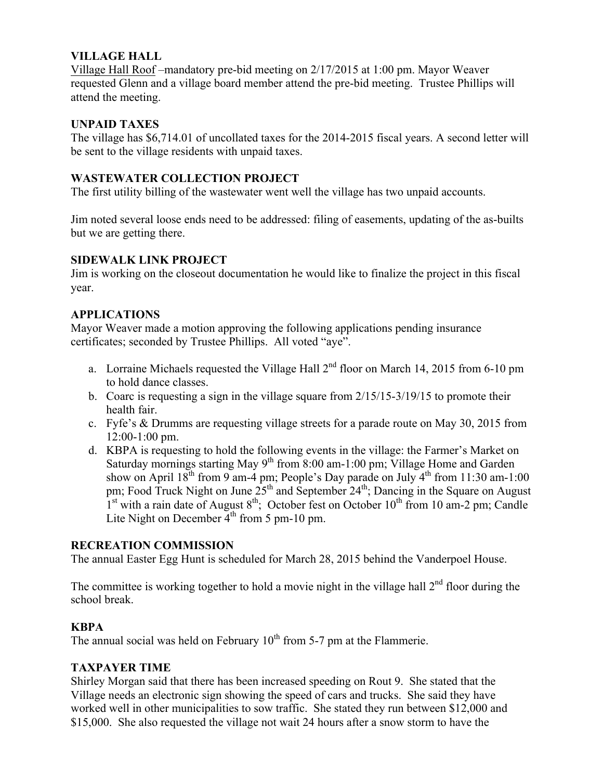## **VILLAGE HALL**

Village Hall Roof –mandatory pre-bid meeting on 2/17/2015 at 1:00 pm. Mayor Weaver requested Glenn and a village board member attend the pre-bid meeting. Trustee Phillips will attend the meeting.

## **UNPAID TAXES**

The village has \$6,714.01 of uncollated taxes for the 2014-2015 fiscal years. A second letter will be sent to the village residents with unpaid taxes.

## **WASTEWATER COLLECTION PROJECT**

The first utility billing of the wastewater went well the village has two unpaid accounts.

Jim noted several loose ends need to be addressed: filing of easements, updating of the as-builts but we are getting there.

# **SIDEWALK LINK PROJECT**

Jim is working on the closeout documentation he would like to finalize the project in this fiscal year.

# **APPLICATIONS**

Mayor Weaver made a motion approving the following applications pending insurance certificates; seconded by Trustee Phillips. All voted "aye".

- a. Lorraine Michaels requested the Village Hall  $2<sup>nd</sup>$  floor on March 14, 2015 from 6-10 pm to hold dance classes.
- b. Coarc is requesting a sign in the village square from 2/15/15-3/19/15 to promote their health fair.
- c. Fyfe's & Drumms are requesting village streets for a parade route on May 30, 2015 from 12:00-1:00 pm.
- d. KBPA is requesting to hold the following events in the village: the Farmer's Market on Saturday mornings starting May  $9<sup>th</sup>$  from 8:00 am-1:00 pm; Village Home and Garden show on April  $18^{th}$  from 9 am-4 pm; People's Day parade on July  $4^{th}$  from 11:30 am-1:00 pm; Food Truck Night on June  $25<sup>th</sup>$  and September  $24<sup>th</sup>$ ; Dancing in the Square on August  $1<sup>st</sup>$  with a rain date of August 8<sup>th</sup>; October fest on October 10<sup>th</sup> from 10 am-2 pm; Candle Lite Night on December  $4<sup>th</sup>$  from 5 pm-10 pm.

## **RECREATION COMMISSION**

The annual Easter Egg Hunt is scheduled for March 28, 2015 behind the Vanderpoel House.

The committee is working together to hold a movie night in the village hall  $2<sup>nd</sup>$  floor during the school break.

## **KBPA**

The annual social was held on February  $10<sup>th</sup>$  from 5-7 pm at the Flammerie.

## **TAXPAYER TIME**

Shirley Morgan said that there has been increased speeding on Rout 9. She stated that the Village needs an electronic sign showing the speed of cars and trucks. She said they have worked well in other municipalities to sow traffic. She stated they run between \$12,000 and \$15,000. She also requested the village not wait 24 hours after a snow storm to have the